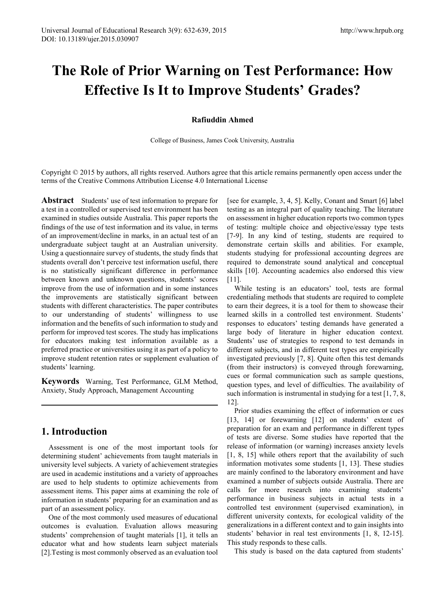# **The Role of Prior Warning on Test Performance: How Effective Is It to Improve Students' Grades?**

#### **Rafiuddin Ahmed**

College of Business, James Cook University, Australia

Copyright © 2015 by authors, all rights reserved. Authors agree that this article remains permanently open access under the terms of the Creative Commons Attribution License 4.0 International License

**Abstract** Students' use of test information to prepare for a test in a controlled or supervised test environment has been examined in studies outside Australia. This paper reports the findings of the use of test information and its value, in terms of an improvement/decline in marks, in an actual test of an undergraduate subject taught at an Australian university. Using a questionnaire survey of students, the study finds that students overall don't perceive test information useful, there is no statistically significant difference in performance between known and unknown questions, students' scores improve from the use of information and in some instances the improvements are statistically significant between students with different characteristics. The paper contributes to our understanding of students' willingness to use information and the benefits of such information to study and perform for improved test scores. The study has implications for educators making test information available as a preferred practice or universities using it as part of a policy to improve student retention rates or supplement evaluation of students' learning.

**Keywords** Warning, Test Performance, GLM Method, Anxiety, Study Approach, Management Accounting

## **1. Introduction**

Assessment is one of the most important tools for determining student' achievements from taught materials in university level subjects. A variety of achievement strategies are used in academic institutions and a variety of approaches are used to help students to optimize achievements from assessment items. This paper aims at examining the role of information in students' preparing for an examination and as part of an assessment policy.

One of the most commonly used measures of educational outcomes is evaluation. Evaluation allows measuring students' comprehension of taught materials [1], it tells an educator what and how students learn subject materials [2].Testing is most commonly observed as an evaluation tool

[see for example, 3, 4, 5]. Kelly, Conant and Smart [6] label testing as an integral part of quality teaching. The literature on assessment in higher education reports two common types of testing: multiple choice and objective/essay type tests [7-9]. In any kind of testing, students are required to demonstrate certain skills and abilities. For example, students studying for professional accounting degrees are required to demonstrate sound analytical and conceptual skills [10]. Accounting academics also endorsed this view [11].

While testing is an educators' tool, tests are formal credentialing methods that students are required to complete to earn their degrees, it is a tool for them to showcase their learned skills in a controlled test environment. Students' responses to educators' testing demands have generated a large body of literature in higher education context. Students' use of strategies to respond to test demands in different subjects, and in different test types are empirically investigated previously [7, 8]. Quite often this test demands (from their instructors) is conveyed through forewarning, cues or formal communication such as sample questions, question types, and level of difficulties. The availability of such information is instrumental in studying for a test [1, 7, 8, 12].

Prior studies examining the effect of information or cues [13, 14] or forewarning [12] on students' extent of preparation for an exam and performance in different types of tests are diverse. Some studies have reported that the release of information (or warning) increases anxiety levels [1, 8, 15] while others report that the availability of such information motivates some students [1, 13]. These studies are mainly confined to the laboratory environment and have examined a number of subjects outside Australia. There are calls for more research into examining students' performance in business subjects in actual tests in a controlled test environment (supervised examination), in different university contexts, for ecological validity of the generalizations in a different context and to gain insights into students' behavior in real test environments [1, 8, 12-15]. This study responds to these calls.

This study is based on the data captured from students'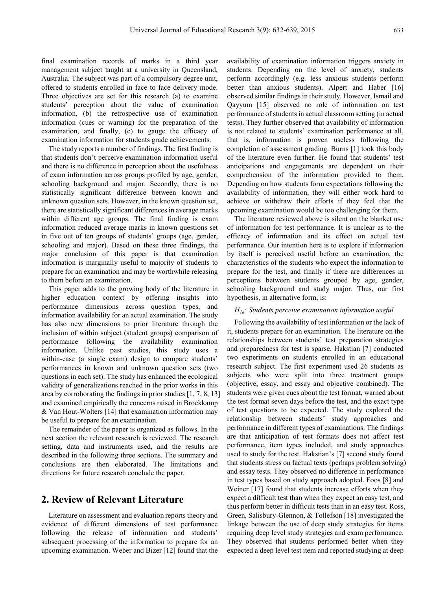final examination records of marks in a third year management subject taught at a university in Queensland, Australia. The subject was part of a compulsory degree unit, offered to students enrolled in face to face delivery mode. Three objectives are set for this research (a) to examine students' perception about the value of examination information, (b) the retrospective use of examination information (cues or warning) for the preparation of the examination, and finally, (c) to gauge the efficacy of examination information for students grade achievements.

The study reports a number of findings. The first finding is that students don't perceive examination information useful and there is no difference in perception about the usefulness of exam information across groups profiled by age, gender, schooling background and major. Secondly, there is no statistically significant difference between known and unknown question sets. However, in the known question set, there are statistically significant differences in average marks within different age groups. The final finding is exam information reduced average marks in known questions set in five out of ten groups of students' groups (age, gender, schooling and major). Based on these three findings, the major conclusion of this paper is that examination information is marginally useful to majority of students to prepare for an examination and may be worthwhile releasing to them before an examination.

This paper adds to the growing body of the literature in higher education context by offering insights into performance dimensions across question types, and information availability for an actual examination. The study has also new dimensions to prior literature through the inclusion of within subject (student groups) comparison of performance following the availability examination information. Unlike past studies, this study uses a within-case (a single exam) design to compare students' performances in known and unknown question sets (two questions in each set). The study has enhanced the ecological validity of generalizations reached in the prior works in this area by corroborating the findings in prior studies [1, 7, 8, 13] and examined empirically the concerns raised in Broekkamp & Van Hout-Wolters [14] that examination information may be useful to prepare for an examination.

The remainder of the paper is organized as follows. In the next section the relevant research is reviewed. The research setting, data and instruments used, and the results are described in the following three sections. The summary and conclusions are then elaborated. The limitations and directions for future research conclude the paper.

## **2. Review of Relevant Literature**

Literature on assessment and evaluation reports theory and evidence of different dimensions of test performance following the release of information and students' subsequent processing of the information to prepare for an upcoming examination. Weber and Bizer [12] found that the

availability of examination information triggers anxiety in students. Depending on the level of anxiety, students perform accordingly (e.g. less anxious students perform better than anxious students). Alpert and Haber [16] observed similar findings in their study. However, Ismail and Qayyum [15] observed no role of information on test performance of students in actual classroom setting (in actual tests). They further observed that availability of information is not related to students' examination performance at all, that is, information is proven useless following the completion of assessment grading. Burns [1] took this body of the literature even further. He found that students' test anticipations and engagements are dependent on their comprehension of the information provided to them. Depending on how students form expectations following the availability of information, they will either work hard to achieve or withdraw their efforts if they feel that the upcoming examination would be too challenging for them.

The literature reviewed above is silent on the blanket use of information for test performance. It is unclear as to the efficacy of information and its effect on actual test performance. Our intention here is to explore if information by itself is perceived useful before an examination, the characteristics of the students who expect the information to prepare for the test, and finally if there are differences in perceptions between students grouped by age, gender, schooling background and study major. Thus, our first hypothesis, in alternative form, is:

#### *H1a: Students perceive examination information useful*

Following the availability of test information or the lack of it, students prepare for an examination. The literature on the relationships between students' test preparation strategies and preparedness for test is sparse. Hakstian [7] conducted two experiments on students enrolled in an educational research subject. The first experiment used 26 students as subjects who were split into three treatment groups (objective, essay, and essay and objective combined). The students were given cues about the test format, warned about the test format seven days before the test, and the exact type of test questions to be expected. The study explored the relationship between students' study approaches and performance in different types of examinations. The findings are that anticipation of test formats does not affect test performance, item types included, and study approaches used to study for the test. Hakstian's [7] second study found that students stress on factual texts (perhaps problem solving) and essay tests. They observed no difference in performance in test types based on study approach adopted. Foos [8] and Weiner [17] found that students increase efforts when they expect a difficult test than when they expect an easy test, and thus perform better in difficult tests than in an easy test. Ross, Green, Salisbury-Glennon, & Tollefson [18] investigated the linkage between the use of deep study strategies for items requiring deep level study strategies and exam performance. They observed that students performed better when they expected a deep level test item and reported studying at deep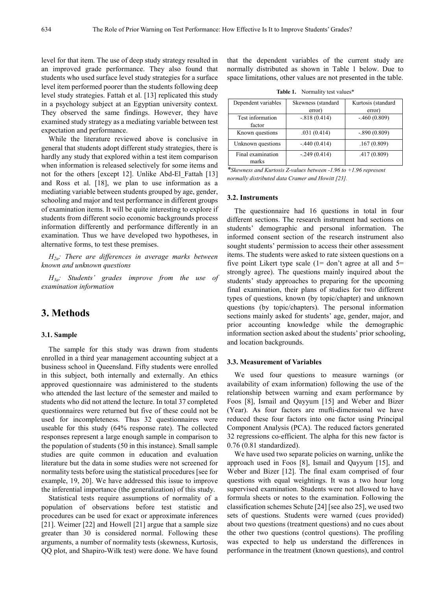level for that item. The use of deep study strategy resulted in an improved grade performance. They also found that students who used surface level study strategies for a surface level item performed poorer than the students following deep level study strategies. Fattah et al. [13] replicated this study in a psychology subject at an Egyptian university context. They observed the same findings. However, they have examined study strategy as a mediating variable between test expectation and performance.

While the literature reviewed above is conclusive in general that students adopt different study strategies, there is hardly any study that explored within a test item comparison when information is released selectively for some items and not for the others [except 12]. Unlike Abd-El\_Fattah [13] and Ross et al. [18], we plan to use information as a mediating variable between students grouped by age, gender, schooling and major and test performance in different groups of examination items. It will be quite interesting to explore if students from different socio economic backgrounds process information differently and performance differently in an examination. Thus we have developed two hypotheses, in alternative forms, to test these premises.

*H2a: There are differences in average marks between known and unknown questions*

*H3a: Students' grades improve from the use of examination information*

## **3. Methods**

#### **3.1. Sample**

The sample for this study was drawn from students enrolled in a third year management accounting subject at a business school in Queensland. Fifty students were enrolled in this subject, both internally and externally. An ethics approved questionnaire was administered to the students who attended the last lecture of the semester and mailed to students who did not attend the lecture. In total 37 completed questionnaires were returned but five of these could not be used for incompleteness. Thus 32 questionnaires were useable for this study (64% response rate). The collected responses represent a large enough sample in comparison to the population of students (50 in this instance). Small sample studies are quite common in education and evaluation literature but the data in some studies were not screened for normality tests before using the statistical procedures [see for example, 19, 20]. We have addressed this issue to improve the inferential importance (the generalization) of this study.

Statistical tests require assumptions of normality of a population of observations before test statistic and procedures can be used for exact or approximate inferences [21]. Weimer [22] and Howell [21] argue that a sample size greater than 30 is considered normal. Following these arguments, a number of normality tests (skewness, Kurtosis, QQ plot, and Shapiro-Wilk test) were done. We have found

that the dependent variables of the current study are normally distributed as shown in Table 1 below. Due to space limitations, other values are not presented in the table.

**Table 1.** Normality test values\*

| Dependent variables        | Skewness (standard | Kurtosis (standard |  |
|----------------------------|--------------------|--------------------|--|
|                            | error)             | error)             |  |
| Test information<br>factor | $-.818(0.414)$     | $-460(0.809)$      |  |
| Known questions            | .031(0.414)        | $-.890(0.809)$     |  |
| Unknown questions          | $-.440(0.414)$     | .167(0.809)        |  |
| Final examination<br>marks | $-.249(0.414)$     | .417(0.809)        |  |

*\*Skewness and Kurtosis Z-values between -1.96 to +1.96 represent normally distributed data Cramer and Howitt [23].*

#### **3.2. Instruments**

The questionnaire had 16 questions in total in four different sections. The research instrument had sections on students' demographic and personal information. The informed consent section of the research instrument also sought students' permission to access their other assessment items. The students were asked to rate sixteen questions on a five point Likert type scale  $(1=$  don't agree at all and  $5=$ strongly agree). The questions mainly inquired about the students' study approaches to preparing for the upcoming final examination, their plans of studies for two different types of questions, known (by topic/chapter) and unknown questions (by topic/chapters). The personal information sections mainly asked for students' age, gender, major, and prior accounting knowledge while the demographic information section asked about the students' prior schooling, and location backgrounds.

#### **3.3. Measurement of Variables**

We used four questions to measure warnings (or availability of exam information) following the use of the relationship between warning and exam performance by Foos [8], Ismail and Qayyum [15] and Weber and Bizer (Year). As four factors are mufti-dimensional we have reduced these four factors into one factor using Principal Component Analysis (PCA). The reduced factors generated 32 regressions co-efficient. The alpha for this new factor is 0.76 (0.81 standardized).

We have used two separate policies on warning, unlike the approach used in Foos [8], Ismail and Qayyum [15], and Weber and Bizer [12]. The final exam comprised of four questions with equal weightings. It was a two hour long supervised examination. Students were not allowed to have formula sheets or notes to the examination. Following the classification schemes Schute [24] [see also 25], we used two sets of questions. Students were warned (cues provided) about two questions (treatment questions) and no cues about the other two questions (control questions). The profiling was expected to help us understand the differences in performance in the treatment (known questions), and control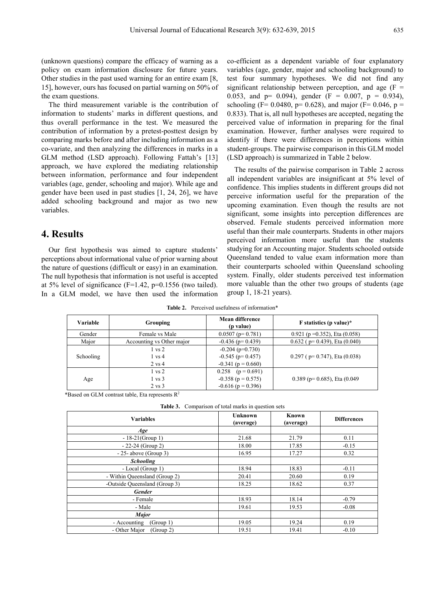(unknown questions) compare the efficacy of warning as a policy on exam information disclosure for future years. Other studies in the past used warning for an entire exam [8, 15], however, ours has focused on partial warning on 50% of the exam questions.

The third measurement variable is the contribution of information to students' marks in different questions, and thus overall performance in the test. We measured the contribution of information by a pretest-posttest design by comparing marks before and after including information as a co-variate, and then analyzing the differences in marks in a GLM method (LSD approach). Following Fattah's [13] approach, we have explored the mediating relationship between information, performance and four independent variables (age, gender, schooling and major). While age and gender have been used in past studies [1, 24, 26], we have added schooling background and major as two new variables.

## **4. Results**

Our first hypothesis was aimed to capture students' perceptions about informational value of prior warning about the nature of questions (difficult or easy) in an examination. The null hypothesis that information is not useful is accepted at 5% level of significance ( $F=1.42$ ,  $p=0.1556$  (two tailed). In a GLM model, we have then used the information

co-efficient as a dependent variable of four explanatory variables (age, gender, major and schooling background) to test four summary hypotheses. We did not find any significant relationship between perception, and age  $(F =$ 0.053, and  $p= 0.094$ ), gender (F = 0.007,  $p = 0.934$ ), schooling (F= 0.0480, p= 0.628), and major (F= 0.046, p = 0.833). That is, all null hypotheses are accepted, negating the perceived value of information in preparing for the final examination. However, further analyses were required to identify if there were differences in perceptions within student-groups. The pairwise comparison in this GLM model (LSD approach) is summarized in Table 2 below.

The results of the pairwise comparison in Table 2 across all independent variables are insignificant at 5% level of confidence. This implies students in different groups did not perceive information useful for the preparation of the upcoming examination. Even though the results are not significant, some insights into perception differences are observed. Female students perceived information more useful than their male counterparts. Students in other majors perceived information more useful than the students studying for an Accounting major. Students schooled outside Queensland tended to value exam information more than their counterparts schooled within Queensland schooling system. Finally, older students perceived test information more valuable than the other two groups of students (age group 1, 18-21 years).

**Table 2.** Perceived usefulness of information\*

| <b>Variable</b> | Grouping                  | Mean difference<br>( <i>p</i> value) | F statistics (p value)*            |
|-----------------|---------------------------|--------------------------------------|------------------------------------|
| Gender          | Female vs Male            | $0.0507$ (p= 0.781)                  | 0.921 ( $p = 0.352$ ), Eta (0.058) |
| Major           | Accounting vs Other major | $-0.436$ (p= 0.439)                  | $0.632$ (p= 0.439), Eta (0.040)    |
| Schooling       | $1 \text{ vs } 2$         | $-0.204$ (p=0.730)                   |                                    |
|                 | $1 \text{ vs } 4$         | $-0.545$ (p= 0.457)                  | $0.297$ (p= 0.747), Eta (0.038)    |
|                 | $2 \text{ vs } 4$         | $-0.341$ (p = 0.660)                 |                                    |
| Age             | $1 \text{ vs } 2$         | $0.258$ (p = 0.691)                  |                                    |
|                 | $1 \text{ vs } 3$         | $-0.358$ (p = 0.575)                 | $0.389$ (p= 0.685), Eta (0.049)    |
|                 | $2 \text{ vs } 3$         | $-0.616$ (p = 0.396)                 |                                    |

\*Based on GLM contrast table, Eta represents  $R^2$ 

**Table 3.** Comparison of total marks in question sets

| <b>Variables</b>              | <b>Unknown</b><br>(average) | Known<br>(average) | <b>Differences</b> |
|-------------------------------|-----------------------------|--------------------|--------------------|
| Age                           |                             |                    |                    |
| $-18-21(Group 1)$             | 21.68                       | 21.79              | 0.11               |
| $-22-24$ (Group 2)            | 18.00                       | 17.85              | $-0.15$            |
| $-25$ - above (Group 3)       | 16.95                       | 17.27              | 0.32               |
| <b>Schooling</b>              |                             |                    |                    |
| - Local (Group 1)             | 18.94                       | 18.83              | $-0.11$            |
| - Within Queensland (Group 2) | 20.41                       | 20.60              | 0.19               |
| -Outside Queensland (Group 3) | 18.25                       | 18.62              | 0.37               |
| <b>Gender</b>                 |                             |                    |                    |
| - Female                      | 18.93                       | 18.14              | $-0.79$            |
| - Male                        | 19.61                       | 19.53              | $-0.08$            |
| <b>Major</b>                  |                             |                    |                    |
| - Accounting<br>(Group 1)     | 19.05                       | 19.24              | 0.19               |
| - Other Major<br>(Group 2)    | 19.51                       | 19.41              | $-0.10$            |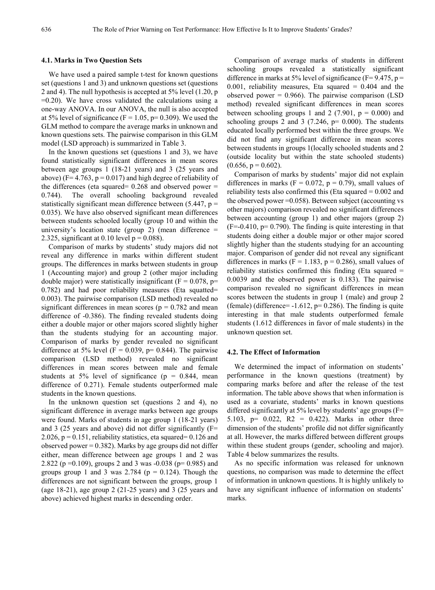#### **4.1. Marks in Two Question Sets**

We have used a paired sample t-test for known questions set (questions 1 and 3) and unknown questions set (questions 2 and 4). The null hypothesis is accepted at 5% level (1.20, p  $=0.20$ ). We have cross validated the calculations using a one-way ANOVA. In our ANOVA, the null is also accepted at 5% level of significance ( $F = 1.05$ ,  $p = 0.309$ ). We used the GLM method to compare the average marks in unknown and known questions sets. The pairwise comparison in this GLM model (LSD approach) is summarized in Table 3.

In the known questions set (questions 1 and 3), we have found statistically significant differences in mean scores between age groups 1 (18-21 years) and 3 (25 years and above) ( $F= 4.763$ ,  $p = 0.017$ ) and high degree of reliability of the differences (eta squared=  $0.268$  and observed power = 0.744). The overall schooling background revealed statistically significant mean difference between  $(5.447, p =$ 0.035). We have also observed significant mean differences between students schooled locally (group 10 and within the university's location state (group 2) (mean difference  $=$ 2.325, significant at 0.10 level  $p = 0.088$ ).

Comparison of marks by students' study majors did not reveal any difference in marks within different student groups. The differences in marks between students in group 1 (Accounting major) and group 2 (other major including double major) were statistically insignificant ( $F = 0.078$ , p= 0.782) and had poor reliability measures (Eta squatted= 0.003). The pairwise comparison (LSD method) revealed no significant differences in mean scores ( $p = 0.782$  and mean difference of -0.386). The finding revealed students doing either a double major or other majors scored slightly higher than the students studying for an accounting major. Comparison of marks by gender revealed no significant difference at 5% level ( $F = 0.039$ ,  $p = 0.844$ ). The pairwise comparison (LSD method) revealed no significant differences in mean scores between male and female students at 5% level of significance ( $p = 0.844$ , mean difference of 0.271). Female students outperformed male students in the known questions.

In the unknown question set (questions 2 and 4), no significant difference in average marks between age groups were found. Marks of students in age group 1 (18-21 years) and 3 (25 years and above) did not differ significantly (F= 2.026,  $p = 0.151$ , reliability statistics, eta squared= 0.126 and observed power  $= 0.382$ ). Marks by age groups did not differ either, mean difference between age groups 1 and 2 was 2.822 (p =0.109), groups 2 and 3 was -0.038 (p= 0.985) and groups group 1 and 3 was  $2.784$  ( $p = 0.124$ ). Though the differences are not significant between the groups, group 1 (age 18-21), age group 2 (21-25 years) and 3 (25 years and above) achieved highest marks in descending order.

Comparison of average marks of students in different schooling groups revealed a statistically significant difference in marks at 5% level of significance ( $F=9.475$ ,  $p=$ 0.001, reliability measures, Eta squared  $= 0.404$  and the observed power  $= 0.966$ ). The pairwise comparison (LSD method) revealed significant differences in mean scores between schooling groups 1 and 2 (7.901,  $p = 0.000$ ) and schooling groups 2 and 3 (7.246,  $p= 0.000$ ). The students educated locally performed best within the three groups. We did not find any significant difference in mean scores between students in groups 1(locally schooled students and 2 (outside locality but within the state schooled students)  $(0.656, p = 0.602)$ .

Comparison of marks by students' major did not explain differences in marks ( $F = 0.072$ ,  $p = 0.79$ ), small values of reliability tests also confirmed this (Eta squared  $= 0.002$  and the observed power =0.058). Between subject (accounting vs other majors) comparison revealed no significant differences between accounting (group 1) and other majors (group 2)  $(F=0.410, p= 0.790)$ . The finding is quite interesting in that students doing either a double major or other major scored slightly higher than the students studying for an accounting major. Comparison of gender did not reveal any significant differences in marks ( $F = 1.183$ ,  $p = 0.286$ ), small values of reliability statistics confirmed this finding (Eta squared = 0.0039 and the observed power is 0.183). The pairwise comparison revealed no significant differences in mean scores between the students in group 1 (male) and group 2 (female) (difference=  $-1.612$ , p= 0.286). The finding is quite interesting in that male students outperformed female students (1.612 differences in favor of male students) in the unknown question set.

#### **4.2. The Effect of Information**

We determined the impact of information on students' performance in the known questions (treatment) by comparing marks before and after the release of the test information. The table above shows that when information is used as a covariate, students' marks in known questions differed significantly at 5% level by students' age groups (F= 5.103, p= 0.022, R2 = 0.422). Marks in other three dimension of the students' profile did not differ significantly at all. However, the marks differed between different groups within these student groups (gender, schooling and major). Table 4 below summarizes the results.

As no specific information was released for unknown questions, no comparison was made to determine the effect of information in unknown questions. It is highly unlikely to have any significant influence of information on students' marks.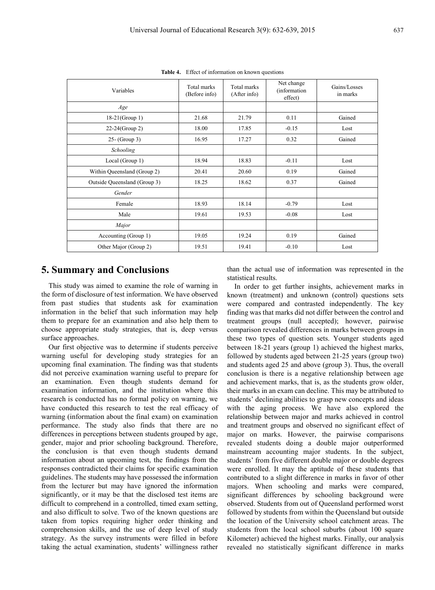| Variables                    | Total marks<br>(Before info) | Total marks<br>(After info) | Net change<br>(information)<br>effect) | Gains/Losses<br>in marks |
|------------------------------|------------------------------|-----------------------------|----------------------------------------|--------------------------|
| Age                          |                              |                             |                                        |                          |
| $18-21(Group 1)$             | 21.68                        | 21.79                       | 0.11                                   | Gained                   |
| 22-24(Group 2)               | 18.00                        | 17.85                       | $-0.15$                                | Lost                     |
| $25 - (Group\;3)$            | 16.95                        | 17.27                       | 0.32                                   | Gained                   |
| Schooling                    |                              |                             |                                        |                          |
| Local (Group 1)              | 18.94                        | 18.83                       | $-0.11$                                | Lost                     |
| Within Queensland (Group 2)  | 20.41                        | 20.60                       | 0.19                                   | Gained                   |
| Outside Queensland (Group 3) | 18.25                        | 18.62                       | 0.37                                   | Gained                   |
| Gender                       |                              |                             |                                        |                          |
| Female                       | 18.93                        | 18.14                       | $-0.79$                                | Lost                     |
| Male                         | 19.61                        | 19.53                       | $-0.08$                                | Lost                     |
| Major                        |                              |                             |                                        |                          |
| Accounting (Group 1)         | 19.05                        | 19.24                       | 0.19                                   | Gained                   |
| Other Major (Group 2)        | 19.51                        | 19.41                       | $-0.10$                                | Lost                     |

**Table 4.** Effect of information on known questions

## **5. Summary and Conclusions**

This study was aimed to examine the role of warning in the form of disclosure of test information. We have observed from past studies that students ask for examination information in the belief that such information may help them to prepare for an examination and also help them to choose appropriate study strategies, that is, deep versus surface approaches.

Our first objective was to determine if students perceive warning useful for developing study strategies for an upcoming final examination. The finding was that students did not perceive examination warning useful to prepare for an examination. Even though students demand for examination information, and the institution where this research is conducted has no formal policy on warning, we have conducted this research to test the real efficacy of warning (information about the final exam) on examination performance. The study also finds that there are no differences in perceptions between students grouped by age, gender, major and prior schooling background. Therefore, the conclusion is that even though students demand information about an upcoming test, the findings from the responses contradicted their claims for specific examination guidelines. The students may have possessed the information from the lecturer but may have ignored the information significantly, or it may be that the disclosed test items are difficult to comprehend in a controlled, timed exam setting, and also difficult to solve. Two of the known questions are taken from topics requiring higher order thinking and comprehension skills, and the use of deep level of study strategy. As the survey instruments were filled in before taking the actual examination, students' willingness rather

than the actual use of information was represented in the statistical results.

In order to get further insights, achievement marks in known (treatment) and unknown (control) questions sets were compared and contrasted independently. The key finding was that marks did not differ between the control and treatment groups (null accepted); however, pairwise comparison revealed differences in marks between groups in these two types of question sets. Younger students aged between 18-21 years (group 1) achieved the highest marks, followed by students aged between 21-25 years (group two) and students aged 25 and above (group 3). Thus, the overall conclusion is there is a negative relationship between age and achievement marks, that is, as the students grow older, their marks in an exam can decline. This may be attributed to students' declining abilities to grasp new concepts and ideas with the aging process. We have also explored the relationship between major and marks achieved in control and treatment groups and observed no significant effect of major on marks. However, the pairwise comparisons revealed students doing a double major outperformed mainstream accounting major students. In the subject, students' from five different double major or double degrees were enrolled. It may the aptitude of these students that contributed to a slight difference in marks in favor of other majors. When schooling and marks were compared, significant differences by schooling background were observed. Students from out of Queensland performed worst followed by students from within the Queensland but outside the location of the University school catchment areas. The students from the local school suburbs (about 100 square Kilometer) achieved the highest marks. Finally, our analysis revealed no statistically significant difference in marks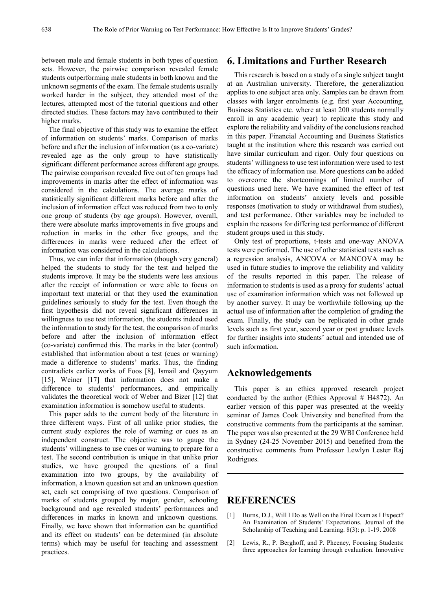between male and female students in both types of question sets. However, the pairwise comparison revealed female students outperforming male students in both known and the unknown segments of the exam. The female students usually worked harder in the subject, they attended most of the lectures, attempted most of the tutorial questions and other directed studies. These factors may have contributed to their higher marks.

The final objective of this study was to examine the effect of information on students' marks. Comparison of marks before and after the inclusion of information (as a co-variate) revealed age as the only group to have statistically significant different performance across different age groups. The pairwise comparison revealed five out of ten groups had improvements in marks after the effect of information was considered in the calculations. The average marks of statistically significant different marks before and after the inclusion of information effect was reduced from two to only one group of students (by age groups). However, overall, there were absolute marks improvements in five groups and reduction in marks in the other five groups, and the differences in marks were reduced after the effect of information was considered in the calculations.

Thus, we can infer that information (though very general) helped the students to study for the test and helped the students improve. It may be the students were less anxious after the receipt of information or were able to focus on important text material or that they used the examination guidelines seriously to study for the test. Even though the first hypothesis did not reveal significant differences in willingness to use test information, the students indeed used the information to study for the test, the comparison of marks before and after the inclusion of information effect (co-variate) confirmed this. The marks in the later (control) established that information about a test (cues or warning) made a difference to students' marks. Thus, the finding contradicts earlier works of Foos [8], Ismail and Qayyum [15], Weiner [17] that information does not make a difference to students' performances, and empirically validates the theoretical work of Weber and Bizer [12] that examination information is somehow useful to students.

This paper adds to the current body of the literature in three different ways. First of all unlike prior studies, the current study explores the role of warning or cues as an independent construct. The objective was to gauge the students' willingness to use cues or warning to prepare for a test. The second contribution is unique in that unlike prior studies, we have grouped the questions of a final examination into two groups, by the availability of information, a known question set and an unknown question set, each set comprising of two questions. Comparison of marks of students grouped by major, gender, schooling background and age revealed students' performances and differences in marks in known and unknown questions. Finally, we have shown that information can be quantified and its effect on students' can be determined (in absolute terms) which may be useful for teaching and assessment practices.

## **6. Limitations and Further Research**

This research is based on a study of a single subject taught at an Australian university. Therefore, the generalization applies to one subject area only. Samples can be drawn from classes with larger enrolments (e.g. first year Accounting, Business Statistics etc. where at least 200 students normally enroll in any academic year) to replicate this study and explore the reliability and validity of the conclusions reached in this paper. Financial Accounting and Business Statistics taught at the institution where this research was carried out have similar curriculum and rigor. Only four questions on students' willingness to use test information were used to test the efficacy of information use. More questions can be added to overcome the shortcomings of limited number of questions used here. We have examined the effect of test information on students' anxiety levels and possible responses (motivation to study or withdrawal from studies), and test performance. Other variables may be included to explain the reasons for differing test performance of different student groups used in this study.

Only test of proportions, t-tests and one-way ANOVA tests were performed. The use of other statistical tests such as a regression analysis, ANCOVA or MANCOVA may be used in future studies to improve the reliability and validity of the results reported in this paper. The release of information to students is used as a proxy for students' actual use of examination information which was not followed up by another survey. It may be worthwhile following up the actual use of information after the completion of grading the exam. Finally, the study can be replicated in other grade levels such as first year, second year or post graduate levels for further insights into students' actual and intended use of such information.

### **Acknowledgements**

This paper is an ethics approved research project conducted by the author (Ethics Approval  $#$  H4872). An earlier version of this paper was presented at the weekly seminar of James Cook University and benefited from the constructive comments from the participants at the seminar. The paper was also presented at the 29 WBI Conference held in Sydney (24-25 November 2015) and benefited from the constructive comments from Professor Lewlyn Lester Raj Rodrigues.

## **REFERENCES**

- [1] Burns, D.J., Will I Do as Well on the Final Exam as I Expect? An Examination of Students' Expectations. Journal of the Scholarship of Teaching and Learning. 8(3): p. 1-19. 2008
- [2] Lewis, R., P. Berghoff, and P. Pheeney, Focusing Students: three approaches for learning through evaluation. Innovative